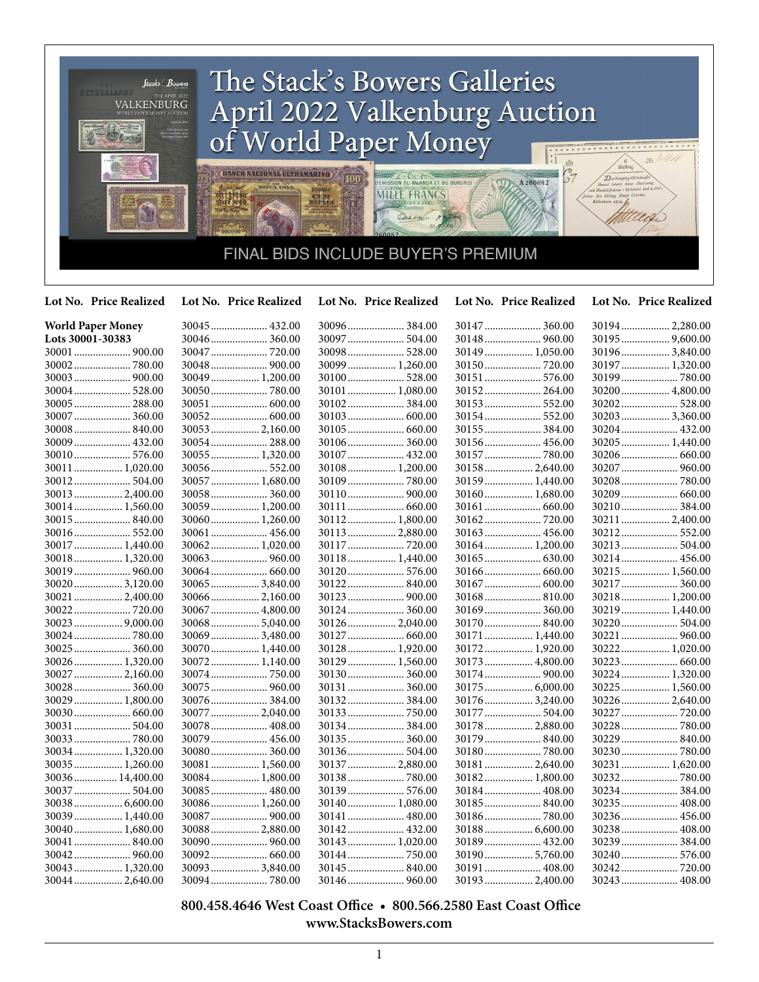

**Lot No. Price Realized Lot No. Price Realized Lot No. Price Realized Lot No. Price Realized Lot No. Price Realized**

| <b>World Paper Money</b> | 30045  432.00    | 30096 384.00    | 30147  360.00   | 30194 2,280.00  |
|--------------------------|------------------|-----------------|-----------------|-----------------|
| Lots 30001-30383         | 30046 360.00     | 30097  504.00   | 30148  960.00   | 30195  9,600.00 |
| 30001  900.00            | 30047  720.00    | 30098  528.00   | 30149  1,050.00 | 30196 3,840.00  |
|                          |                  | 30099  1,260.00 |                 | 30197 1,320.00  |
|                          | 30049 1,200.00   | 30100 528.00    | 30151  576.00   | 30199  780.00   |
| 30004 528.00             |                  | 30101  1,080.00 | 30152 264.00    | 30200  4,800.00 |
| 30005  288.00            | 30051  600.00    |                 |                 | 30202 528.00    |
| 30007  360.00            | 30052 600.00     |                 | 30154  552.00   | 30203 3,360.00  |
|                          | 30053 2,160.00   |                 | 30155  384.00   | 30204 432.00    |
| 30009 432.00             | 30054 288.00     | 30106 360.00    |                 | 30205  1,440.00 |
| 30010 576.00             | 30055 1,320.00   | 30107  432.00   | 30157  780.00   |                 |
| 30011                    | 30056 552.00     | 30108 1,200.00  | 30158 2,640.00  | 30207  960.00   |
| 30012 504.00             | 30057  1,680.00  |                 | 30159  1,440.00 |                 |
| 30013  2,400.00          | 30058 360.00     |                 | 30160 1,680.00  | 30209  660.00   |
| 30014 1,560.00           | 30059 1,200.00   |                 |                 | 30210 384.00    |
| 30015  840.00            | 30060 1,260.00   | 30112 1,800.00  |                 | 30211  2,400.00 |
| 30016 552.00             | 30061  456.00    | 30113  2,880.00 | 30163  456.00   | 30212 552.00    |
| 30017  1,440.00          | 30062 1,020.00   | 30117  720.00   | 30164  1,200.00 | 30213 504.00    |
| 30018 1,320.00           |                  | 30118 1,440.00  |                 | 30214 456.00    |
|                          |                  | 30120 576.00    |                 | 30215  1,560.00 |
| 30020  3,120.00          | 30065  3,840.00  | 30122 840.00    |                 |                 |
| 30021  2,400.00          | $30066$ 2,160.00 |                 |                 | 30218 1,200.00  |
|                          | 30067  4,800.00  | 30124  360.00   | 30169  360.00   | 30219  1,440.00 |
| 30023  9,000.00          | 30068 5,040.00   | 30126  2,040.00 |                 | 30220  504.00   |
| 30024  780.00            | 30069 3,480.00   | 30127  660.00   | 30171  1,440.00 | 30221  960.00   |
| 30025  360.00            | 30070 1,440.00   | 30128 1,920.00  | 30172 1,920.00  | 30222 1,020.00  |
| 30026 1,320.00           | 30072 1,140.00   | 30129 1,560.00  | 30173  4,800.00 | 30223  660.00   |
| 30027  2,160.00          |                  | 30130 360.00    |                 | 30224  1,320.00 |
| 30028  360.00            |                  | 30131  360.00   | 30175  6,000.00 | 30225  1,560.00 |
| 30029  1,800.00          | 30076384.00      | 30132 384.00    | 30176  3,240.00 | 30226  2,640.00 |
|                          | 30077  2,040.00  |                 | 30177  504.00   | 30227  720.00   |
| 30031  504.00            | 30078 408.00     |                 | 30178  2,880.00 | 30228  780.00   |
|                          | 30079 456.00     | 30135 360.00    |                 | 30229  840.00   |
| 30034 1,320.00           | 30080 360.00     | 30136 504.00    | 30180780.00     |                 |
| $30035$ 1,260.00         | 30081  1,560.00  | 30137  2,880.00 | 30181  2,640.00 | 30231  1,620.00 |
| 30036 14,400.00          | 30084 1,800.00   | 30138780.00     | 30182 1,800.00  |                 |
| 30037  504.00            | 30085 480.00     | 30139  576.00   | 30184  408.00   | 30234 384.00    |
| 30038 6,600.00           | 30086 1,260.00   | 30140 1,080.00  |                 | 30235  408.00   |
| 30039  1,440.00          | 30087  900.00    | 30141  480.00   | 30186780.00     | 30236 456.00    |
| 30040 1,680.00           | 30088 2,880.00   | 30142 432.00    | 30188 6,600.00  | 30238 408.00    |
| 30041  840.00            |                  | 30143  1,020.00 | 30189  432.00   | 30239  384.00   |
|                          | 30092 660.00     | 30144  750.00   | 30190 5,760.00  | 30240 576.00    |
| 30043  1,320.00          | 300933,840.00    | 30145  840.00   | 30191  408.00   |                 |
| 30044  2,640.00          |                  |                 | 30193  2,400.00 |                 |

 **800.458.4646 West Coast Office • 800.566.2580 East Coast Office www.StacksBowers.com**